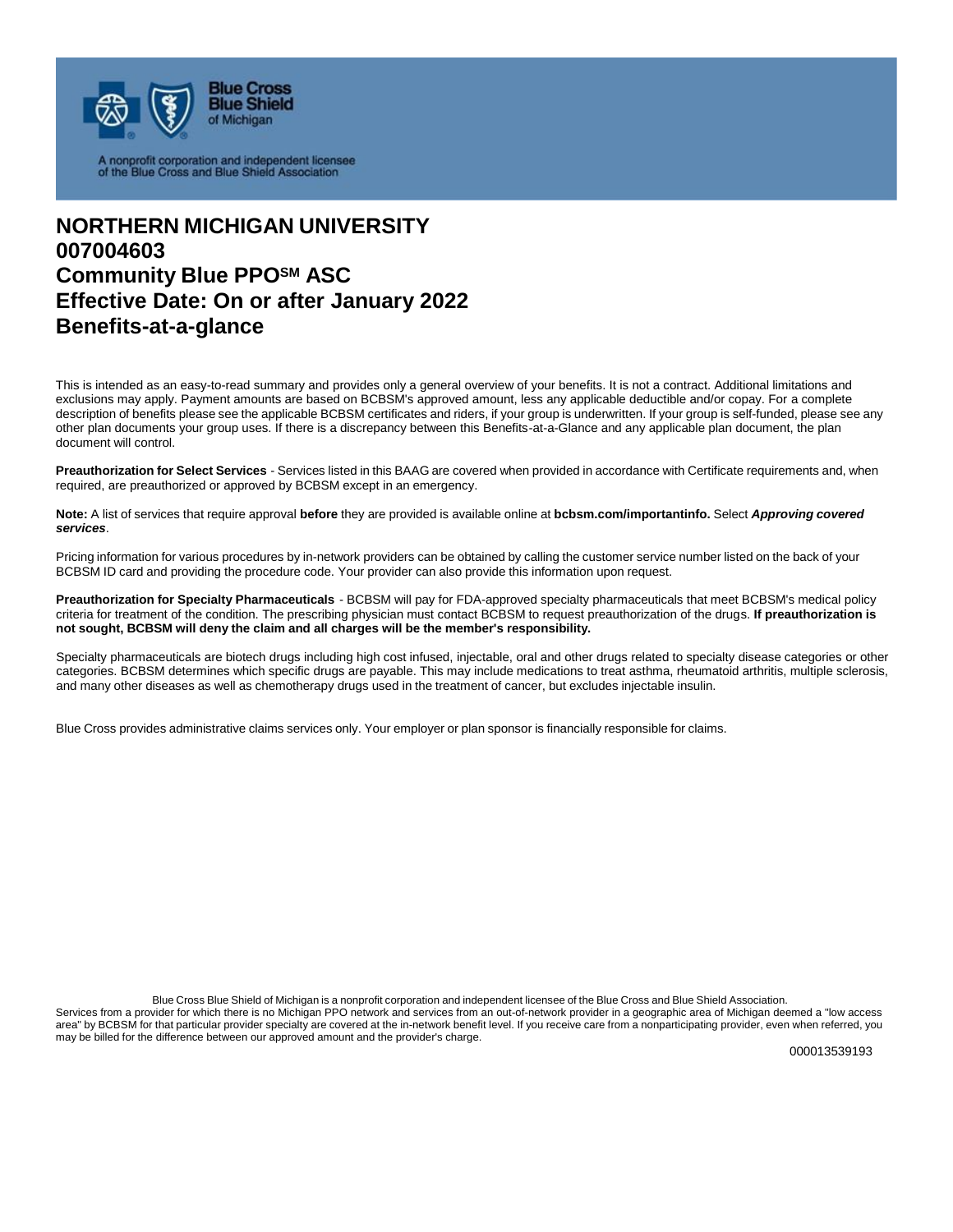

A nonprofit corporation and independent licensee<br>of the Blue Cross and Blue Shield Association

# **NORTHERN MICHIGAN UNIVERSITY 007004603 Community Blue PPOSM ASC Effective Date: On or after January 2022 Benefits-at-a-glance**

This is intended as an easy-to-read summary and provides only a general overview of your benefits. It is not a contract. Additional limitations and exclusions may apply. Payment amounts are based on BCBSM's approved amount, less any applicable deductible and/or copay. For a complete description of benefits please see the applicable BCBSM certificates and riders, if your group is underwritten. If your group is self-funded, please see any other plan documents your group uses. If there is a discrepancy between this Benefits-at-a-Glance and any applicable plan document, the plan document will control.

**Preauthorization for Select Services** - Services listed in this BAAG are covered when provided in accordance with Certificate requirements and, when required, are preauthorized or approved by BCBSM except in an emergency.

**Note:** A list of services that require approval **before** they are provided is available online at **bcbsm.com/importantinfo.** Select *Approving covered services*.

Pricing information for various procedures by in-network providers can be obtained by calling the customer service number listed on the back of your BCBSM ID card and providing the procedure code. Your provider can also provide this information upon request.

**Preauthorization for Specialty Pharmaceuticals** - BCBSM will pay for FDA-approved specialty pharmaceuticals that meet BCBSM's medical policy criteria for treatment of the condition. The prescribing physician must contact BCBSM to request preauthorization of the drugs. **If preauthorization is not sought, BCBSM will deny the claim and all charges will be the member's responsibility.**

Specialty pharmaceuticals are biotech drugs including high cost infused, injectable, oral and other drugs related to specialty disease categories or other categories. BCBSM determines which specific drugs are payable. This may include medications to treat asthma, rheumatoid arthritis, multiple sclerosis, and many other diseases as well as chemotherapy drugs used in the treatment of cancer, but excludes injectable insulin.

Blue Cross provides administrative claims services only. Your employer or plan sponsor is financially responsible for claims.

Blue Cross Blue Shield of Michigan is a nonprofit corporation and independent licensee of the Blue Cross and Blue Shield Association.

Services from a provider for which there is no Michigan PPO network and services from an out-of-network provider in a geographic area of Michigan deemed a "low access area" by BCBSM for that particular provider specialty are covered at the in-network benefit level. If you receive care from a nonparticipating provider, even when referred, you may be billed for the difference between our approved amount and the provider's charge.

000013539193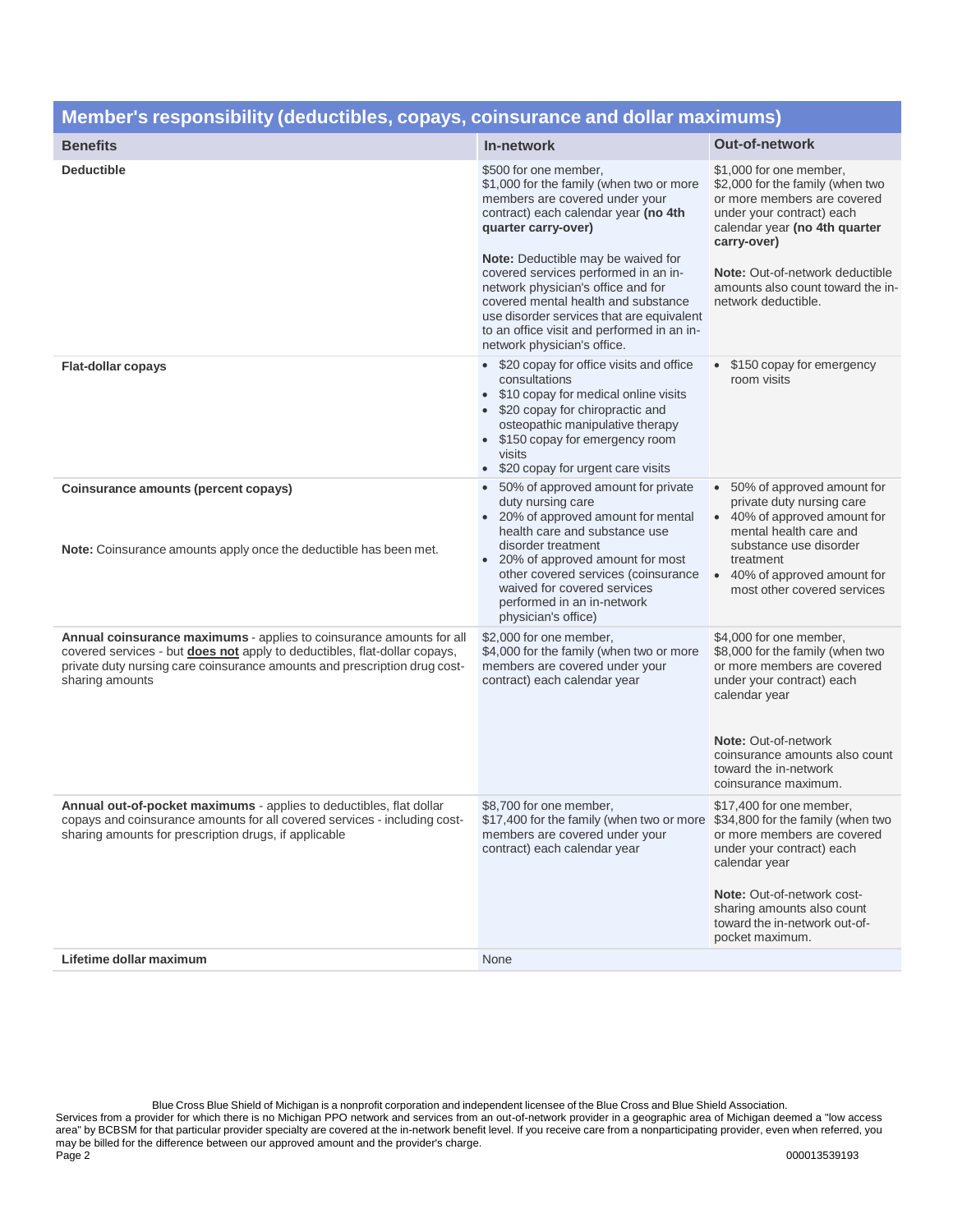| <u>Member's responsibility (deductibles, copays, coinsurance and dollar maximums)</u>                                                                                                                                                                    |                                                                                                                                                                                                                                                                                                                                                                                                                                                                |                                                                                                                                                                                                                                                                        |
|----------------------------------------------------------------------------------------------------------------------------------------------------------------------------------------------------------------------------------------------------------|----------------------------------------------------------------------------------------------------------------------------------------------------------------------------------------------------------------------------------------------------------------------------------------------------------------------------------------------------------------------------------------------------------------------------------------------------------------|------------------------------------------------------------------------------------------------------------------------------------------------------------------------------------------------------------------------------------------------------------------------|
| <b>Benefits</b>                                                                                                                                                                                                                                          | In-network                                                                                                                                                                                                                                                                                                                                                                                                                                                     | <b>Out-of-network</b>                                                                                                                                                                                                                                                  |
| <b>Deductible</b>                                                                                                                                                                                                                                        | \$500 for one member,<br>\$1,000 for the family (when two or more<br>members are covered under your<br>contract) each calendar year (no 4th<br>quarter carry-over)<br><b>Note:</b> Deductible may be waived for<br>covered services performed in an in-<br>network physician's office and for<br>covered mental health and substance<br>use disorder services that are equivalent<br>to an office visit and performed in an in-<br>network physician's office. | \$1,000 for one member,<br>\$2,000 for the family (when two<br>or more members are covered<br>under your contract) each<br>calendar year (no 4th quarter<br>carry-over)<br>Note: Out-of-network deductible<br>amounts also count toward the in-<br>network deductible. |
| <b>Flat-dollar copays</b>                                                                                                                                                                                                                                | • \$20 copay for office visits and office<br>consultations<br>\$10 copay for medical online visits<br>\$20 copay for chiropractic and<br>osteopathic manipulative therapy<br>\$150 copay for emergency room<br>visits<br>\$20 copay for urgent care visits                                                                                                                                                                                                     | • \$150 copay for emergency<br>room visits                                                                                                                                                                                                                             |
| Coinsurance amounts (percent copays)<br>Note: Coinsurance amounts apply once the deductible has been met.                                                                                                                                                | • 50% of approved amount for private<br>duty nursing care<br>20% of approved amount for mental<br>health care and substance use<br>disorder treatment<br>20% of approved amount for most<br>other covered services (coinsurance<br>waived for covered services<br>performed in an in-network<br>physician's office)                                                                                                                                            | • 50% of approved amount for<br>private duty nursing care<br>40% of approved amount for<br>mental health care and<br>substance use disorder<br>treatment<br>• 40% of approved amount for<br>most other covered services                                                |
| Annual coinsurance maximums - applies to coinsurance amounts for all<br>covered services - but <b>does not</b> apply to deductibles, flat-dollar copays,<br>private duty nursing care coinsurance amounts and prescription drug cost-<br>sharing amounts | \$2,000 for one member,<br>\$4,000 for the family (when two or more<br>members are covered under your<br>contract) each calendar year                                                                                                                                                                                                                                                                                                                          | \$4,000 for one member,<br>\$8,000 for the family (when two<br>or more members are covered<br>under your contract) each<br>calendar year<br>Note: Out-of-network<br>coinsurance amounts also count<br>toward the in-network<br>coinsurance maximum.                    |
| <b>Annual out-of-pocket maximums</b> - applies to deductibles, flat dollar<br>copays and coinsurance amounts for all covered services - including cost-<br>sharing amounts for prescription drugs, if applicable                                         | \$8,700 for one member,<br>\$17,400 for the family (when two or more \$34,800 for the family (when two<br>members are covered under your<br>contract) each calendar year                                                                                                                                                                                                                                                                                       | \$17,400 for one member,<br>or more members are covered<br>under your contract) each<br>calendar year<br>Note: Out-of-network cost-<br>sharing amounts also count<br>toward the in-network out-of-<br>pocket maximum.                                                  |
| Lifetime dollar maximum                                                                                                                                                                                                                                  | None                                                                                                                                                                                                                                                                                                                                                                                                                                                           |                                                                                                                                                                                                                                                                        |

### **Member's responsibility (deductibles, copays, coinsurance and dollar maximums)**

Blue Cross Blue Shield of Michigan is a nonprofit corporation and independent licensee of the Blue Cross and Blue Shield Association. Services from a provider for which there is no Michigan PPO network and services from an out-of-network provider in a geographic area of Michigan deemed a "low access area" by BCBSM for that particular provider specialty are covered at the in-network benefit level. If you receive care from a nonparticipating provider, even when referred, you may be billed for the difference between our approved amount and the provider's charge. Page 2 000013539193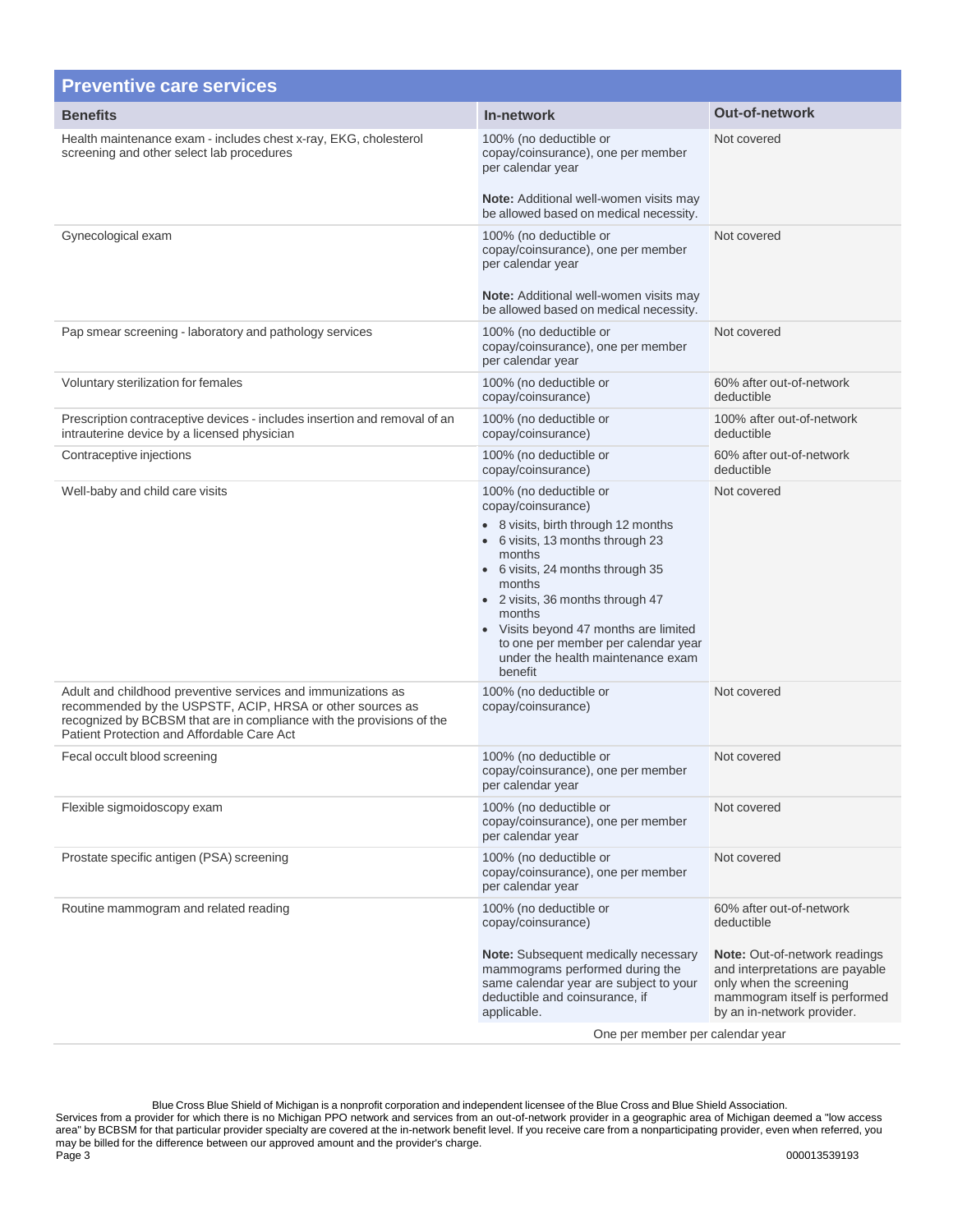| <b>Preventive care services</b>                                                                                                                                                                                                                  |                                                                                                                                                                                                                                                                                                                                                               |                                                                                                                                                                                                             |
|--------------------------------------------------------------------------------------------------------------------------------------------------------------------------------------------------------------------------------------------------|---------------------------------------------------------------------------------------------------------------------------------------------------------------------------------------------------------------------------------------------------------------------------------------------------------------------------------------------------------------|-------------------------------------------------------------------------------------------------------------------------------------------------------------------------------------------------------------|
| <b>Benefits</b>                                                                                                                                                                                                                                  | In-network                                                                                                                                                                                                                                                                                                                                                    | <b>Out-of-network</b>                                                                                                                                                                                       |
| Health maintenance exam - includes chest x-ray, EKG, cholesterol<br>screening and other select lab procedures                                                                                                                                    | 100% (no deductible or<br>copay/coinsurance), one per member<br>per calendar year<br><b>Note:</b> Additional well-women visits may<br>be allowed based on medical necessity.                                                                                                                                                                                  | Not covered                                                                                                                                                                                                 |
| Gynecological exam                                                                                                                                                                                                                               | 100% (no deductible or<br>copay/coinsurance), one per member<br>per calendar year<br><b>Note:</b> Additional well-women visits may<br>be allowed based on medical necessity.                                                                                                                                                                                  | Not covered                                                                                                                                                                                                 |
| Pap smear screening - laboratory and pathology services                                                                                                                                                                                          | 100% (no deductible or<br>copay/coinsurance), one per member<br>per calendar year                                                                                                                                                                                                                                                                             | Not covered                                                                                                                                                                                                 |
| Voluntary sterilization for females                                                                                                                                                                                                              | 100% (no deductible or<br>copay/coinsurance)                                                                                                                                                                                                                                                                                                                  | 60% after out-of-network<br>deductible                                                                                                                                                                      |
| Prescription contraceptive devices - includes insertion and removal of an<br>intrauterine device by a licensed physician                                                                                                                         | 100% (no deductible or<br>copay/coinsurance)                                                                                                                                                                                                                                                                                                                  | 100% after out-of-network<br>deductible                                                                                                                                                                     |
| Contraceptive injections                                                                                                                                                                                                                         | 100% (no deductible or<br>copay/coinsurance)                                                                                                                                                                                                                                                                                                                  | 60% after out-of-network<br>deductible                                                                                                                                                                      |
| Well-baby and child care visits                                                                                                                                                                                                                  | 100% (no deductible or<br>copay/coinsurance)<br>• 8 visits, birth through 12 months<br>• 6 visits, 13 months through 23<br>months<br>• 6 visits, 24 months through 35<br>months<br>• 2 visits, 36 months through 47<br>months<br>• Visits beyond 47 months are limited<br>to one per member per calendar year<br>under the health maintenance exam<br>benefit | Not covered                                                                                                                                                                                                 |
| Adult and childhood preventive services and immunizations as<br>recommended by the USPSTF, ACIP, HRSA or other sources as<br>recognized by BCBSM that are in compliance with the provisions of the<br>Patient Protection and Affordable Care Act | 100% (no deductible or<br>copay/coinsurance)                                                                                                                                                                                                                                                                                                                  | Not covered                                                                                                                                                                                                 |
| Fecal occult blood screening                                                                                                                                                                                                                     | 100% (no deductible or<br>copay/coinsurance), one per member<br>per calendar year                                                                                                                                                                                                                                                                             | Not covered                                                                                                                                                                                                 |
| Flexible sigmoidoscopy exam                                                                                                                                                                                                                      | 100% (no deductible or<br>copay/coinsurance), one per member<br>per calendar year                                                                                                                                                                                                                                                                             | Not covered                                                                                                                                                                                                 |
| Prostate specific antigen (PSA) screening                                                                                                                                                                                                        | 100% (no deductible or<br>copay/coinsurance), one per member<br>per calendar year                                                                                                                                                                                                                                                                             | Not covered                                                                                                                                                                                                 |
| Routine mammogram and related reading                                                                                                                                                                                                            | 100% (no deductible or<br>copay/coinsurance)<br><b>Note:</b> Subsequent medically necessary<br>mammograms performed during the<br>same calendar year are subject to your<br>deductible and coinsurance, if<br>applicable.<br>One per member per calendar year                                                                                                 | 60% after out-of-network<br>deductible<br><b>Note:</b> Out-of-network readings<br>and interpretations are payable<br>only when the screening<br>mammogram itself is performed<br>by an in-network provider. |

Blue Cross Blue Shield of Michigan is a nonprofit corporation and independent licensee of the Blue Cross and Blue Shield Association. Services from a provider for which there is no Michigan PPO network and services from an out-of-network provider in a geographic area of Michigan deemed a "low access area" by BCBSM for that particular provider specialty are covered at the in-network benefit level. If you receive care from a nonparticipating provider, even when referred, you may be billed for the difference between our approved amount and the provider's charge. Page 3 000013539193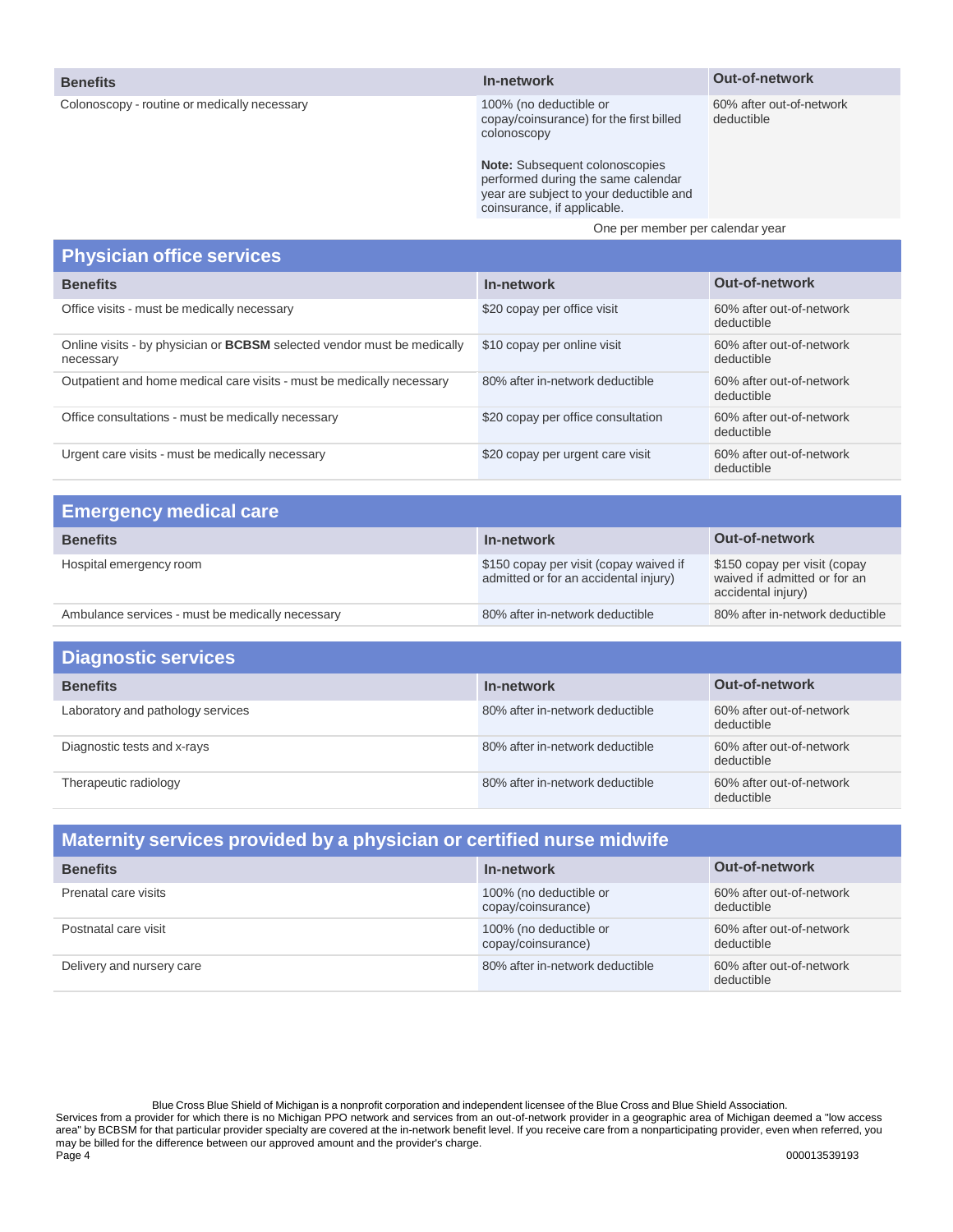#### **Benefits**

Colonoscopy - routine or medically necessary

**In-network**

100% (no deductible or copay/coinsurance) for the first billed colonoscopy

60% after out-of-network deductible

**Out-of-network**

**Note:** Subsequent colonoscopies performed during the same calendar year are subject to your deductible and coinsurance, if applicable.

One per member per calendar year

#### **Physician office services Benefits In-network Out-of-network** Office visits - must be medically necessary example of the state of the state of the state of the SO% after out-of-network deductible Online visits - by physician or **BCBSM** selected vendor must be medically necessary \$10 copay per online visit 60% after out-of-network deductible Outpatient and home medical care visits - must be medically necessary 80% after in-network deductible 60% after out-of-network deductible Office consultations - must be medically necessary **\$20** copay per office consultation 60% after out-of-network deductible Urgent care visits - must be medically necessary **\$20** copay per urgent care visit 60% after out-of-network deductible

| <b>Emergency medical care</b>                    |                                                                                 |                                                                                    |
|--------------------------------------------------|---------------------------------------------------------------------------------|------------------------------------------------------------------------------------|
| <b>Benefits</b>                                  | In-network                                                                      | <b>Out-of-network</b>                                                              |
| Hospital emergency room                          | \$150 copay per visit (copay waived if<br>admitted or for an accidental injury) | \$150 copay per visit (copay<br>waived if admitted or for an<br>accidental injury) |
| Ambulance services - must be medically necessary | 80% after in-network deductible                                                 | 80% after in-network deductible                                                    |

| <b>Diagnostic services</b>        |                                 |                                        |
|-----------------------------------|---------------------------------|----------------------------------------|
| <b>Benefits</b>                   | In-network                      | <b>Out-of-network</b>                  |
| Laboratory and pathology services | 80% after in-network deductible | 60% after out-of-network<br>deductible |
| Diagnostic tests and x-rays       | 80% after in-network deductible | 60% after out-of-network<br>deductible |
| Therapeutic radiology             | 80% after in-network deductible | 60% after out-of-network<br>deductible |

| Maternity services provided by a physician or certified nurse midwife |                                              |                                        |  |
|-----------------------------------------------------------------------|----------------------------------------------|----------------------------------------|--|
| <b>Benefits</b>                                                       | In-network                                   | Out-of-network                         |  |
| Prenatal care visits                                                  | 100% (no deductible or<br>copay/coinsurance) | 60% after out-of-network<br>deductible |  |
| Postnatal care visit                                                  | 100% (no deductible or<br>copay/coinsurance) | 60% after out-of-network<br>deductible |  |
| Delivery and nursery care                                             | 80% after in-network deductible              | 60% after out-of-network<br>deductible |  |

Blue Cross Blue Shield of Michigan is a nonprofit corporation and independent licensee of the Blue Cross and Blue Shield Association. Services from a provider for which there is no Michigan PPO network and services from an out-of-network provider in a geographic area of Michigan deemed a "low access area" by BCBSM for that particular provider specialty are covered at the in-network benefit level. If you receive care from a nonparticipating provider, even when referred, you may be billed for the difference between our approved amount and the provider's charge. Page 4 000013539193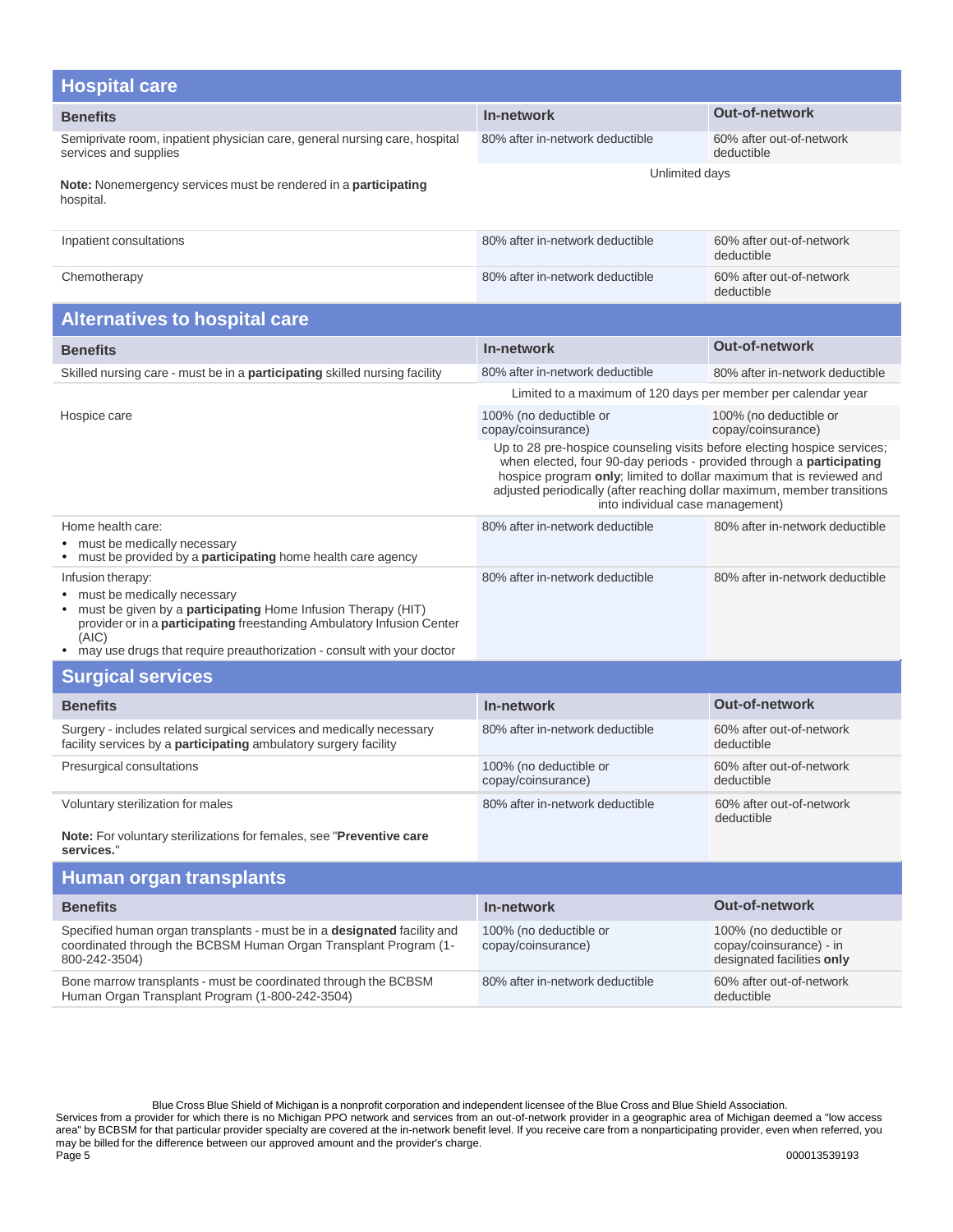| <b>Hospital care</b>                                                                                                                                                                                                                                                                   |                                                                                                                                                                                                                                                                                                                                          |                                                                                 |
|----------------------------------------------------------------------------------------------------------------------------------------------------------------------------------------------------------------------------------------------------------------------------------------|------------------------------------------------------------------------------------------------------------------------------------------------------------------------------------------------------------------------------------------------------------------------------------------------------------------------------------------|---------------------------------------------------------------------------------|
| <b>Benefits</b>                                                                                                                                                                                                                                                                        | In-network                                                                                                                                                                                                                                                                                                                               | <b>Out-of-network</b>                                                           |
| Semiprivate room, inpatient physician care, general nursing care, hospital<br>services and supplies                                                                                                                                                                                    | 80% after in-network deductible                                                                                                                                                                                                                                                                                                          | 60% after out-of-network<br>deductible                                          |
| Note: Nonemergency services must be rendered in a participating<br>hospital.                                                                                                                                                                                                           | Unlimited days                                                                                                                                                                                                                                                                                                                           |                                                                                 |
| Inpatient consultations                                                                                                                                                                                                                                                                | 80% after in-network deductible                                                                                                                                                                                                                                                                                                          | 60% after out-of-network<br>deductible                                          |
| Chemotherapy                                                                                                                                                                                                                                                                           | 80% after in-network deductible                                                                                                                                                                                                                                                                                                          | 60% after out-of-network<br>deductible                                          |
| <b>Alternatives to hospital care</b>                                                                                                                                                                                                                                                   |                                                                                                                                                                                                                                                                                                                                          |                                                                                 |
| <b>Benefits</b>                                                                                                                                                                                                                                                                        | In-network                                                                                                                                                                                                                                                                                                                               | <b>Out-of-network</b>                                                           |
| Skilled nursing care - must be in a participating skilled nursing facility                                                                                                                                                                                                             | 80% after in-network deductible                                                                                                                                                                                                                                                                                                          | 80% after in-network deductible                                                 |
|                                                                                                                                                                                                                                                                                        | Limited to a maximum of 120 days per member per calendar year                                                                                                                                                                                                                                                                            |                                                                                 |
| Hospice care                                                                                                                                                                                                                                                                           | 100% (no deductible or<br>copay/coinsurance)                                                                                                                                                                                                                                                                                             | 100% (no deductible or<br>copay/coinsurance)                                    |
|                                                                                                                                                                                                                                                                                        | Up to 28 pre-hospice counseling visits before electing hospice services;<br>when elected, four 90-day periods - provided through a participating<br>hospice program only; limited to dollar maximum that is reviewed and<br>adjusted periodically (after reaching dollar maximum, member transitions<br>into individual case management) |                                                                                 |
| Home health care:<br>• must be medically necessary<br>• must be provided by a participating home health care agency                                                                                                                                                                    | 80% after in-network deductible                                                                                                                                                                                                                                                                                                          | 80% after in-network deductible                                                 |
| Infusion therapy:<br>must be medically necessary<br>must be given by a participating Home Infusion Therapy (HIT)<br>provider or in a <b>participating</b> freestanding Ambulatory Infusion Center<br>(AIC)<br>• may use drugs that require preauthorization - consult with your doctor | 80% after in-network deductible                                                                                                                                                                                                                                                                                                          | 80% after in-network deductible                                                 |
| <b>Surgical services</b>                                                                                                                                                                                                                                                               |                                                                                                                                                                                                                                                                                                                                          |                                                                                 |
| <b>Benefits</b>                                                                                                                                                                                                                                                                        | In-network                                                                                                                                                                                                                                                                                                                               | <b>Out-of-network</b>                                                           |
| Surgery - includes related surgical services and medically necessary<br>facility services by a participating ambulatory surgery facility                                                                                                                                               | 80% after in-network deductible                                                                                                                                                                                                                                                                                                          | 60% after out-of-network<br>deductible                                          |
| Presurgical consultations                                                                                                                                                                                                                                                              | 100% (no deductible or<br>copay/coinsurance)                                                                                                                                                                                                                                                                                             | 60% after out-of-network<br>deductible                                          |
| Voluntary sterilization for males                                                                                                                                                                                                                                                      | 80% after in-network deductible                                                                                                                                                                                                                                                                                                          | 60% after out-of-network<br>deductible                                          |
| <b>Note:</b> For voluntary sterilizations for females, see " <b>Preventive care</b><br>services."                                                                                                                                                                                      |                                                                                                                                                                                                                                                                                                                                          |                                                                                 |
| Human organ transplants                                                                                                                                                                                                                                                                |                                                                                                                                                                                                                                                                                                                                          |                                                                                 |
| <b>Benefits</b>                                                                                                                                                                                                                                                                        | In-network                                                                                                                                                                                                                                                                                                                               | <b>Out-of-network</b>                                                           |
| Specified human organ transplants - must be in a designated facility and<br>coordinated through the BCBSM Human Organ Transplant Program (1-<br>800-242-3504)                                                                                                                          | 100% (no deductible or<br>copay/coinsurance)                                                                                                                                                                                                                                                                                             | 100% (no deductible or<br>copay/coinsurance) - in<br>designated facilities only |
| Bone marrow transplants - must be coordinated through the BCBSM<br>Human Organ Transplant Program (1-800-242-3504)                                                                                                                                                                     | 80% after in-network deductible                                                                                                                                                                                                                                                                                                          | 60% after out-of-network<br>deductible                                          |

Blue Cross Blue Shield of Michigan is a nonprofit corporation and independent licensee of the Blue Cross and Blue Shield Association. Services from a provider for which there is no Michigan PPO network and services from an out-of-network provider in a geographic area of Michigan deemed a "low access area" by BCBSM for that particular provider specialty are covered at the in-network benefit level. If you receive care from a nonparticipating provider, even when referred, you may be billed for the difference between our approved amount and the provider's charge. Page 5 000013539193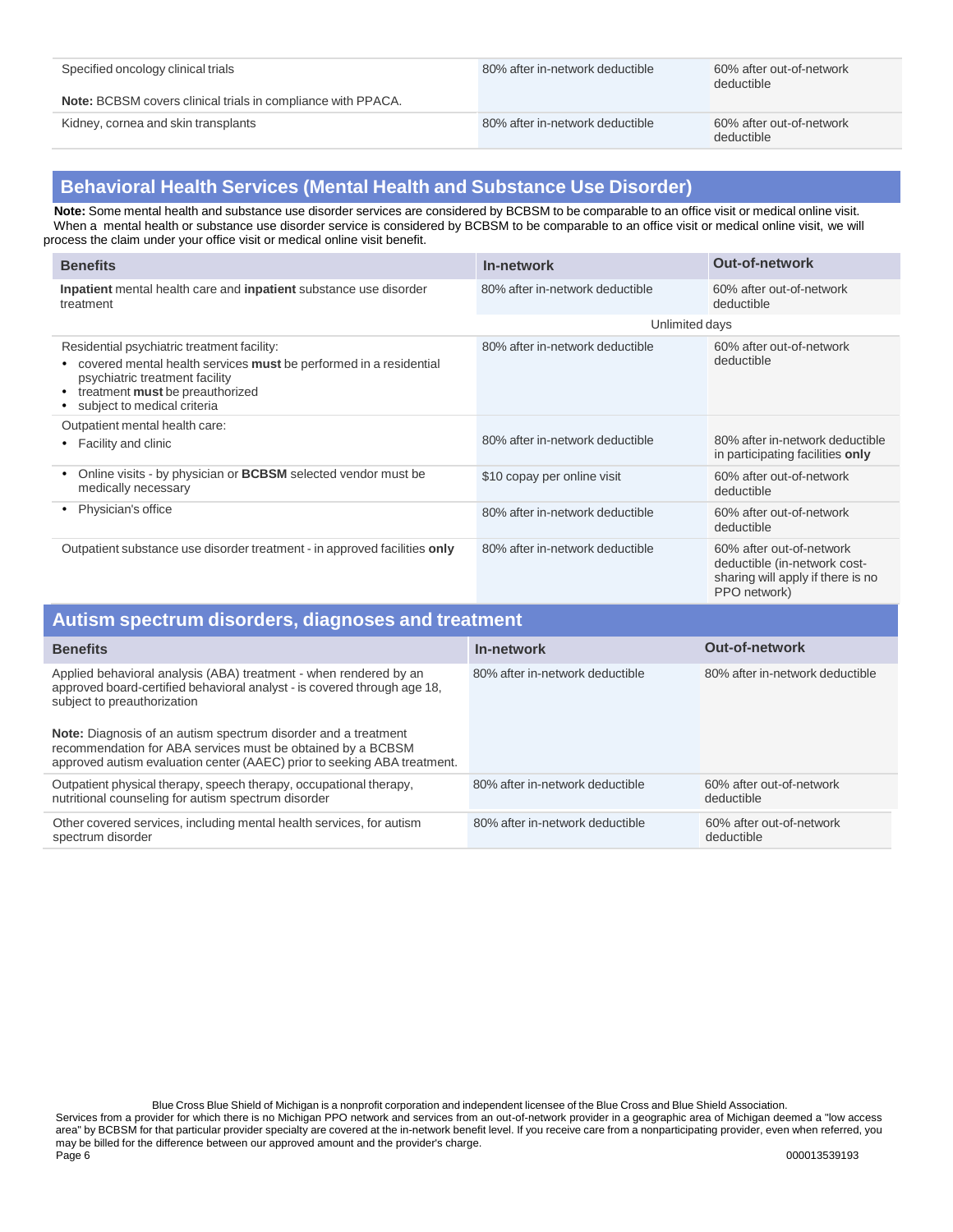80% after in-network deductible 60% after out-of-network

deductible

**Note:** BCBSM covers clinical trials in compliance with PPACA.

Kidney, cornea and skin transplants example and state out-of-network and the state out-of-network deductible 60% after out-of-network

deductible

## **Behavioral Health Services (Mental Health and Substance Use Disorder)**

 **Note:** Some mental health and substance use disorder services are considered by BCBSM to be comparable to an office visit or medical online visit. When a mental health or substance use disorder service is considered by BCBSM to be comparable to an office visit or medical online visit, we will process the claim under your office visit or medical online visit benefit.

| <b>Benefits</b>                                                                                                                                                                                                      | In-network                      | <b>Out-of-network</b>                                                                                         |
|----------------------------------------------------------------------------------------------------------------------------------------------------------------------------------------------------------------------|---------------------------------|---------------------------------------------------------------------------------------------------------------|
| Inpatient mental health care and inpatient substance use disorder<br>treatment                                                                                                                                       | 80% after in-network deductible | 60% after out-of-network<br>deductible                                                                        |
|                                                                                                                                                                                                                      | Unlimited days                  |                                                                                                               |
| Residential psychiatric treatment facility:<br>covered mental health services must be performed in a residential<br>psychiatric treatment facility<br>treatment must be preauthorized<br>subject to medical criteria | 80% after in-network deductible | 60% after out-of-network<br>deductible                                                                        |
| Outpatient mental health care:<br>Facility and clinic<br>٠                                                                                                                                                           | 80% after in-network deductible | 80% after in-network deductible<br>in participating facilities only                                           |
| Online visits - by physician or <b>BCBSM</b> selected vendor must be<br>٠<br>medically necessary                                                                                                                     | \$10 copay per online visit     | 60% after out-of-network<br>deductible                                                                        |
| Physician's office<br>٠                                                                                                                                                                                              | 80% after in-network deductible | 60% after out-of-network<br>deductible                                                                        |
| Outpatient substance use disorder treatment - in approved facilities only                                                                                                                                            | 80% after in-network deductible | 60% after out-of-network<br>deductible (in-network cost-<br>sharing will apply if there is no<br>PPO network) |

| Autism spectrum disorders, diagnoses and treatment                                                                                                                                                                                                                                                                                                                                               |                                 |                                        |  |
|--------------------------------------------------------------------------------------------------------------------------------------------------------------------------------------------------------------------------------------------------------------------------------------------------------------------------------------------------------------------------------------------------|---------------------------------|----------------------------------------|--|
| <b>Benefits</b>                                                                                                                                                                                                                                                                                                                                                                                  | In-network                      | <b>Out-of-network</b>                  |  |
| Applied behavioral analysis (ABA) treatment - when rendered by an<br>approved board-certified behavioral analyst - is covered through age 18,<br>subject to preauthorization<br><b>Note:</b> Diagnosis of an autism spectrum disorder and a treatment<br>recommendation for ABA services must be obtained by a BCBSM<br>approved autism evaluation center (AAEC) prior to seeking ABA treatment. | 80% after in-network deductible | 80% after in-network deductible        |  |
| Outpatient physical therapy, speech therapy, occupational therapy,<br>nutritional counseling for autism spectrum disorder                                                                                                                                                                                                                                                                        | 80% after in-network deductible | 60% after out-of-network<br>deductible |  |
| Other covered services, including mental health services, for autism<br>spectrum disorder                                                                                                                                                                                                                                                                                                        | 80% after in-network deductible | 60% after out-of-network<br>deductible |  |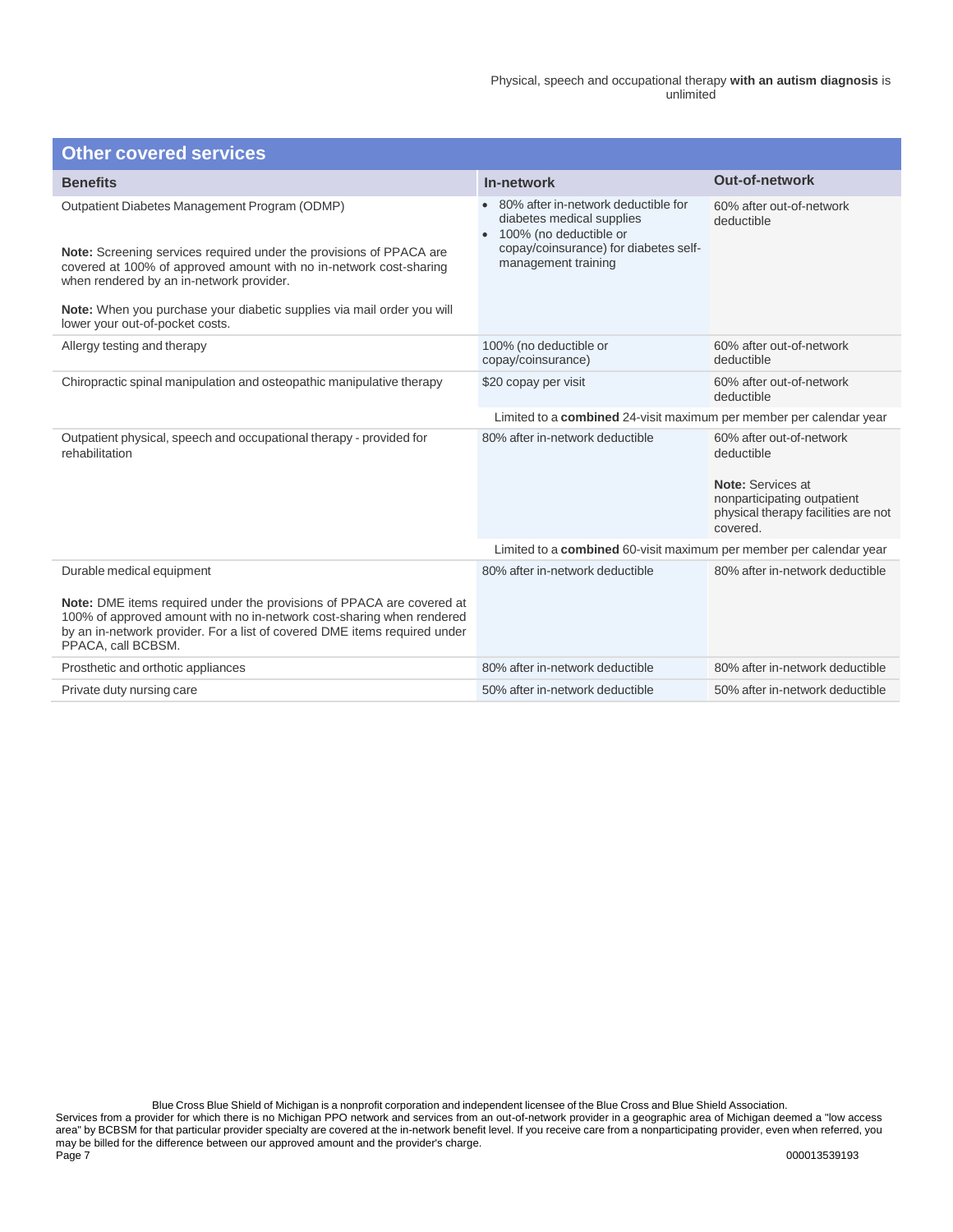| <b>Other covered services</b>                                                                                                                                                                                                                                                                                                                       |                                                                                                                                                            |                                                                                                                                               |
|-----------------------------------------------------------------------------------------------------------------------------------------------------------------------------------------------------------------------------------------------------------------------------------------------------------------------------------------------------|------------------------------------------------------------------------------------------------------------------------------------------------------------|-----------------------------------------------------------------------------------------------------------------------------------------------|
| <b>Benefits</b>                                                                                                                                                                                                                                                                                                                                     | In-network                                                                                                                                                 | <b>Out-of-network</b>                                                                                                                         |
| Outpatient Diabetes Management Program (ODMP)<br>Note: Screening services required under the provisions of PPACA are<br>covered at 100% of approved amount with no in-network cost-sharing<br>when rendered by an in-network provider.<br>Note: When you purchase your diabetic supplies via mail order you will<br>lower your out-of-pocket costs. | 80% after in-network deductible for<br>diabetes medical supplies<br>100% (no deductible or<br>copay/coinsurance) for diabetes self-<br>management training | 60% after out-of-network<br>deductible                                                                                                        |
| Allergy testing and therapy                                                                                                                                                                                                                                                                                                                         | 100% (no deductible or<br>copay/coinsurance)                                                                                                               | 60% after out-of-network<br>deductible                                                                                                        |
| Chiropractic spinal manipulation and osteopathic manipulative therapy                                                                                                                                                                                                                                                                               | \$20 copay per visit                                                                                                                                       | 60% after out-of-network<br>deductible                                                                                                        |
|                                                                                                                                                                                                                                                                                                                                                     | Limited to a combined 24-visit maximum per member per calendar year                                                                                        |                                                                                                                                               |
| Outpatient physical, speech and occupational therapy - provided for<br>rehabilitation                                                                                                                                                                                                                                                               | 80% after in-network deductible                                                                                                                            | 60% after out-of-network<br>deductible<br>Note: Services at<br>nonparticipating outpatient<br>physical therapy facilities are not<br>covered. |
|                                                                                                                                                                                                                                                                                                                                                     | Limited to a combined 60-visit maximum per member per calendar year                                                                                        |                                                                                                                                               |
| Durable medical equipment<br>Note: DME items required under the provisions of PPACA are covered at<br>100% of approved amount with no in-network cost-sharing when rendered<br>by an in-network provider. For a list of covered DME items required under<br>PPACA, call BCBSM.                                                                      | 80% after in-network deductible                                                                                                                            | 80% after in-network deductible                                                                                                               |
| Prosthetic and orthotic appliances                                                                                                                                                                                                                                                                                                                  | 80% after in-network deductible                                                                                                                            | 80% after in-network deductible                                                                                                               |
| Private duty nursing care                                                                                                                                                                                                                                                                                                                           | 50% after in-network deductible                                                                                                                            | 50% after in-network deductible                                                                                                               |